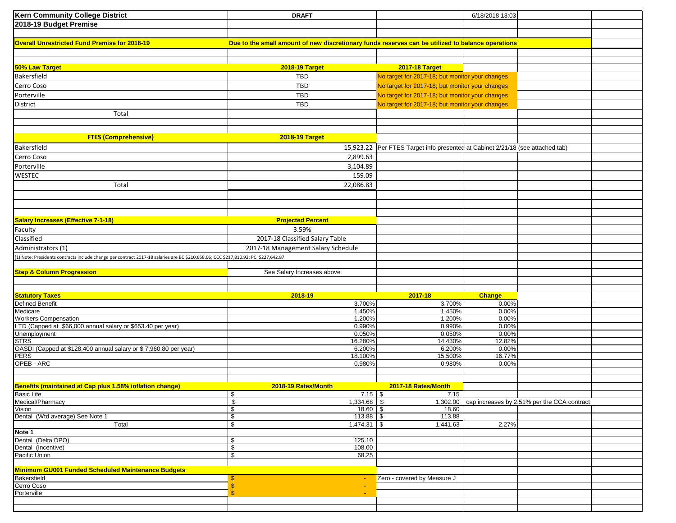| <b>Kern Community College District</b>                                                                                             | <b>DRAFT</b>                                                                                      |                                                                                | 6/18/2018 13:03 |                                                      |  |
|------------------------------------------------------------------------------------------------------------------------------------|---------------------------------------------------------------------------------------------------|--------------------------------------------------------------------------------|-----------------|------------------------------------------------------|--|
| 2018-19 Budget Premise                                                                                                             |                                                                                                   |                                                                                |                 |                                                      |  |
|                                                                                                                                    |                                                                                                   |                                                                                |                 |                                                      |  |
|                                                                                                                                    |                                                                                                   |                                                                                |                 |                                                      |  |
| <b>Overall Unrestricted Fund Premise for 2018-19</b>                                                                               | Due to the small amount of new discretionary funds reserves can be utilized to balance operations |                                                                                |                 |                                                      |  |
|                                                                                                                                    |                                                                                                   |                                                                                |                 |                                                      |  |
|                                                                                                                                    |                                                                                                   |                                                                                |                 |                                                      |  |
| 50% Law Target                                                                                                                     | <b>2018-19 Target</b>                                                                             | <b>2017-18 Target</b>                                                          |                 |                                                      |  |
| Bakersfield                                                                                                                        | TBD                                                                                               | No target for 2017-18; but monitor your changes                                |                 |                                                      |  |
| Cerro Coso                                                                                                                         | <b>TBD</b>                                                                                        | No target for 2017-18; but monitor your changes                                |                 |                                                      |  |
| Porterville                                                                                                                        | <b>TBD</b>                                                                                        | No target for 2017-18; but monitor your changes                                |                 |                                                      |  |
| <b>District</b>                                                                                                                    | TBD                                                                                               | No target for 2017-18; but monitor your changes                                |                 |                                                      |  |
| Total                                                                                                                              |                                                                                                   |                                                                                |                 |                                                      |  |
|                                                                                                                                    |                                                                                                   |                                                                                |                 |                                                      |  |
|                                                                                                                                    |                                                                                                   |                                                                                |                 |                                                      |  |
| <b>FTES (Comprehensive)</b>                                                                                                        | <b>2018-19 Target</b>                                                                             |                                                                                |                 |                                                      |  |
| Bakersfield                                                                                                                        |                                                                                                   |                                                                                |                 |                                                      |  |
|                                                                                                                                    |                                                                                                   | 15,923.22 Per FTES Target info presented at Cabinet 2/21/18 (see attached tab) |                 |                                                      |  |
| Cerro Coso                                                                                                                         | 2,899.63                                                                                          |                                                                                |                 |                                                      |  |
| Porterville                                                                                                                        | 3,104.89                                                                                          |                                                                                |                 |                                                      |  |
| <b>WESTEC</b>                                                                                                                      | 159.09                                                                                            |                                                                                |                 |                                                      |  |
| Total                                                                                                                              | 22,086.83                                                                                         |                                                                                |                 |                                                      |  |
|                                                                                                                                    |                                                                                                   |                                                                                |                 |                                                      |  |
|                                                                                                                                    |                                                                                                   |                                                                                |                 |                                                      |  |
|                                                                                                                                    |                                                                                                   |                                                                                |                 |                                                      |  |
| <b>Salary Increases (Effective 7-1-18)</b>                                                                                         | <b>Projected Percent</b>                                                                          |                                                                                |                 |                                                      |  |
|                                                                                                                                    |                                                                                                   |                                                                                |                 |                                                      |  |
| Faculty                                                                                                                            | 3.59%                                                                                             |                                                                                |                 |                                                      |  |
| Classified                                                                                                                         | 2017-18 Classified Salary Table                                                                   |                                                                                |                 |                                                      |  |
| Administrators (1)                                                                                                                 | 2017-18 Management Salary Schedule                                                                |                                                                                |                 |                                                      |  |
| (1) Note: Presidents contracts include change per contract 2017-18 salaries are BC \$210,658.06; CCC \$217,810.92; PC \$227,642.87 |                                                                                                   |                                                                                |                 |                                                      |  |
|                                                                                                                                    |                                                                                                   |                                                                                |                 |                                                      |  |
| <b>Step &amp; Column Progression</b>                                                                                               | See Salary Increases above                                                                        |                                                                                |                 |                                                      |  |
|                                                                                                                                    |                                                                                                   |                                                                                |                 |                                                      |  |
|                                                                                                                                    |                                                                                                   |                                                                                |                 |                                                      |  |
| <b>Statutory Taxes</b><br>Defined Benefit                                                                                          | 2018-19                                                                                           | 2017-18                                                                        | <b>Change</b>   |                                                      |  |
| Medicare                                                                                                                           | 3.700%<br>1.450%                                                                                  | 3.700%<br>1.450%                                                               | 0.00%<br>0.00%  |                                                      |  |
| <b>Workers Compensation</b>                                                                                                        | 1.200%                                                                                            | 1.200%                                                                         | 0.00%           |                                                      |  |
| LTD (Capped at \$66,000 annual salary or \$653.40 per year)                                                                        |                                                                                                   |                                                                                |                 |                                                      |  |
|                                                                                                                                    |                                                                                                   |                                                                                |                 |                                                      |  |
|                                                                                                                                    | 0.990%                                                                                            | 0.990%                                                                         | 0.00%           |                                                      |  |
| Unemployment                                                                                                                       | 0.050%                                                                                            | 0.050%                                                                         | 0.00%           |                                                      |  |
| <b>STRS</b>                                                                                                                        | 16.280%<br>6.200%                                                                                 | 14.430%<br>6.200%                                                              | 12.82%<br>0.00% |                                                      |  |
| OASDI (Capped at \$128,400 annual salary or \$7,960.80 per year)<br><b>PERS</b>                                                    | 18.100%                                                                                           | 15.500%                                                                        | 16.77%          |                                                      |  |
| OPEB - ARC                                                                                                                         | 0.980%                                                                                            | 0.980%                                                                         | 0.00%           |                                                      |  |
|                                                                                                                                    |                                                                                                   |                                                                                |                 |                                                      |  |
|                                                                                                                                    |                                                                                                   |                                                                                |                 |                                                      |  |
| Benefits (maintained at Cap plus 1.58% inflation change)                                                                           | 2018-19 Rates/Month                                                                               | 2017-18 Rates/Month                                                            |                 |                                                      |  |
| <b>Basic Life</b>                                                                                                                  | P.<br>$7.15 \, \vert \, 3$                                                                        | 7.15                                                                           |                 |                                                      |  |
|                                                                                                                                    | \$<br>1,334.68 \$                                                                                 |                                                                                |                 | 1,302.00 cap increases by 2.51% per the CCA contract |  |
| Medical/Pharmacy<br>Vision                                                                                                         | $18.60$ \$<br>\$                                                                                  | 18.60                                                                          |                 |                                                      |  |
|                                                                                                                                    | $113.88$ \$<br>\$                                                                                 | 113.88                                                                         |                 |                                                      |  |
| Total                                                                                                                              | \$<br>$1,474.31$ \$                                                                               | 1,441.63                                                                       | 2.27%           |                                                      |  |
| Dental (Wtd average) See Note 1<br>Note 1                                                                                          |                                                                                                   |                                                                                |                 |                                                      |  |
|                                                                                                                                    | \$<br>125.10                                                                                      |                                                                                |                 |                                                      |  |
| Dental (Delta DPO)<br>Dental (Incentive)                                                                                           | \$<br>108.00<br>\$<br>68.25                                                                       |                                                                                |                 |                                                      |  |
| Pacific Union                                                                                                                      |                                                                                                   |                                                                                |                 |                                                      |  |
|                                                                                                                                    |                                                                                                   |                                                                                |                 |                                                      |  |
| Minimum GU001 Funded Scheduled Maintenance Budgets<br>Bakersfield                                                                  |                                                                                                   | Zero - covered by Measure J                                                    |                 |                                                      |  |
|                                                                                                                                    | \$                                                                                                |                                                                                |                 |                                                      |  |
| Cerro Coso<br>Porterville                                                                                                          | \$                                                                                                |                                                                                |                 |                                                      |  |
|                                                                                                                                    |                                                                                                   |                                                                                |                 |                                                      |  |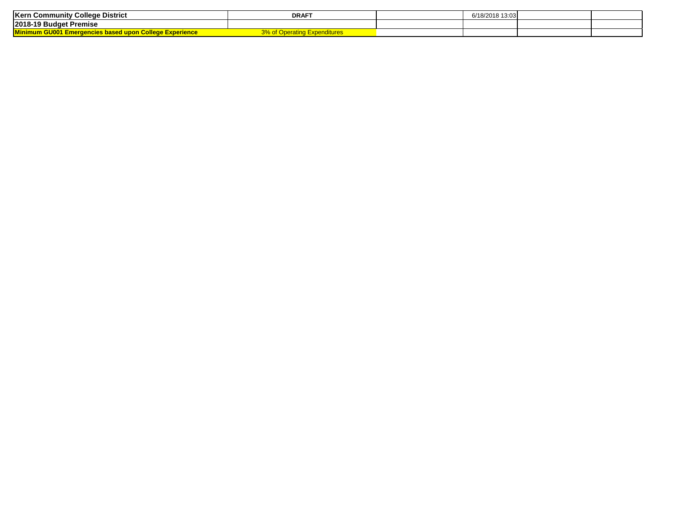| College District<br><b>Kern Community</b>                                  | <b>DRAF</b>         | 6/18/2018 13:03 |  |
|----------------------------------------------------------------------------|---------------------|-----------------|--|
| 2018-19 Budget Premise                                                     |                     |                 |  |
| <b>Minh.</b><br><u>cies based upon College Experience </u><br>um Guwn<br>. | <b>Expenditures</b> |                 |  |